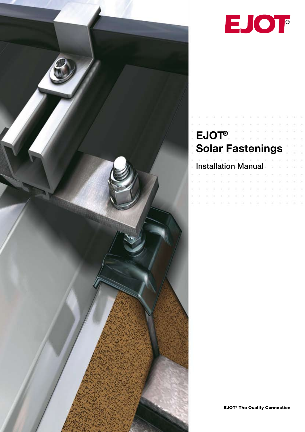



# **EJOT® Solar Fastenings**

Installation Manual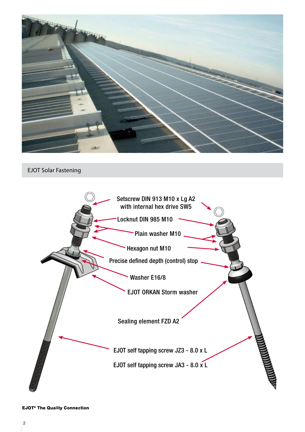

EJOT Solar Fastening

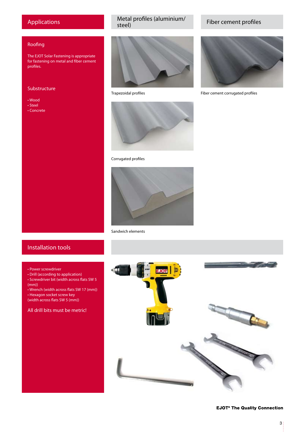#### Applications

#### Roofing

The EJOT Solar Fastening is appropriate for fastening on metal and fiber cement profiles.

#### Substructure

- Wood
- Steel
- Concrete

## Metal profiles (aluminium/<br>steel)



Trapezoidal profiles



#### Corrugated profiles



Sandwich elements

#### Installation tools

#### • Power screwdriver

- Drill (according to application)
- Screwdriver bit (width across flats SW 5 (mm))
- Wrench (width across flats SW 17 (mm))
- Hexagon socket screw key
- (width across flats SW 5 (mm))

#### All drill bits must be metric!



Fiber cement profiles



Fiber cement corrugated profiles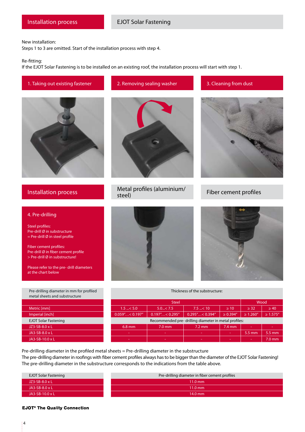New installation:

Steps 1 to 3 are omitted. Start of the installation process with step 4.

Re-fitting:

If the EJOT Solar Fastening is to be installed on an existing roof, the installation process will start with step 1.





### 4. Pre-drilling

Steel profiles: Pre-drill Ø in substructure  $=$  Pre-drill Ø in steel profile

Fiber cement profiles: Pre-drill Ø in fiber cement profile > Pre-drill Ø in substructure!

Please refer to the pre- drill diameters at the chart below









#### Fiber cement profiles



Thickness of the substructure:

|                             |                                                      | Wood                                             |                       |                  |                |                |  |  |  |  |  |
|-----------------------------|------------------------------------------------------|--------------------------------------------------|-----------------------|------------------|----------------|----------------|--|--|--|--|--|
| Metric [mm]                 | $1.5 - < 5.0$                                        | 5.0 < 7.5                                        | $7.5 - 10$            | $\geq 10$        | $\geq$ 32      | $\geq 40$      |  |  |  |  |  |
| Imperial [inch]             | $0.059$ " < $0.197$ "                                | $0.197^{\prime\prime}$ < 0.295 $^{\prime\prime}$ | $0.295$ " < $0.394$ " | $\geq 0.394''$   | $\geq 1.260''$ | $\geq 1.575''$ |  |  |  |  |  |
| <b>EJOT Solar Fastening</b> | Recommended pre-drilling diameter in metal profiles: |                                                  |                       |                  |                |                |  |  |  |  |  |
| JZ3-SB-8.0 x L              | $6.8$ mm                                             | $7.0$ mm                                         | $7.2 \text{ mm}$      | $7.4 \text{ mm}$ |                | ۰              |  |  |  |  |  |
| JA3-SB-8.0 x L              | ۰.                                                   | ۰                                                | ۰.                    | -                | 5.5 mm         | 5.5 mm         |  |  |  |  |  |
| JA3-SB-10.0 x L             | and the                                              | $\sim$                                           | $\sim$                | -                |                | $7.0$ mm       |  |  |  |  |  |

Pre-drilling diameter in the profiled metal sheets = Pre-drilling diameter in the substructure The pre-drilling diameter in roofings with fiber cement profiles always has to be bigger than the diameter of the EJOT Solar Fastening! The pre-drilling diameter in the substructure corresponds to the indications from the table above.

| <b>EJOT Solar Fastening</b> | Pre-drilling diameter in fiber cement profiles |
|-----------------------------|------------------------------------------------|
| $JZ3-SB-8.0 \times L$       | $11.0 \text{ mm}$                              |
| $JA3-SB-8.0 \times L$       | $11.0 \text{ mm}$                              |
| $JAS-SB-10.0 \times L$      | $14.0$ mm                                      |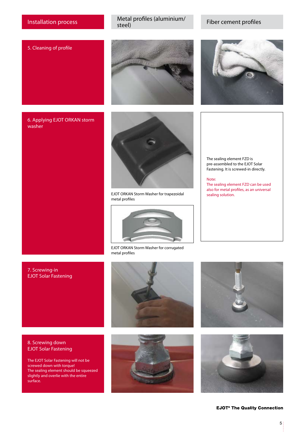Installation process Metal profiles (aluminium/

Fiber cement profiles

#### 5. Cleaning of profile



#### 6. Applying EJOT ORKAN storm washer





EJOT ORKAN Storm Washer for trapezoidal metal profiles



EJOT ORKAN Storm Washer for corrugated metal profiles



The sealing element FZD is pre-assembled to the EJOT Solar Fastening. It is screwed-in directly.

Note: The sealing element FZD can be used also for metal profiles, as an universal

#### 7. Screwing-in EJOT Solar Fastening





The EJOT Solar Fastening will not be screwed down with torque! The sealing element should be squeezed slightly and overlie with the entire surface.





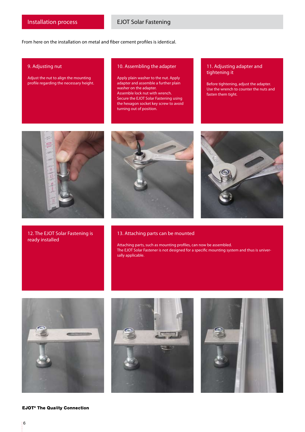From here on the installation on metal and fiber cement profiles is identical.

#### 9. Adjusting nut

Adjust the nut to align the mounting profile regarding the necessary height.

#### 10. Assembling the adapter

Apply plain washer to the nut. Apply adapter and assemble a further plain washer on the adapter. Assemble lock nut with wrench. Secure the EJOT Solar Fastening using the hexagon socket key screw to avoid turning out of position.

#### 11. Adjusting adapter and tightening it

Before tightening, adjust the adapter. Use the wrench to counter the nuts and fasten them tight.



12. The EJOT Solar Fastening is ready installed





#### 13. Attaching parts can be mounted

Attaching parts, such as mounting profiles, can now be assembled. The EJOT Solar Fastener is not designed for a specific mounting system and thus is universally applicable.



**EJOT<sup>®</sup> The Quality Connection**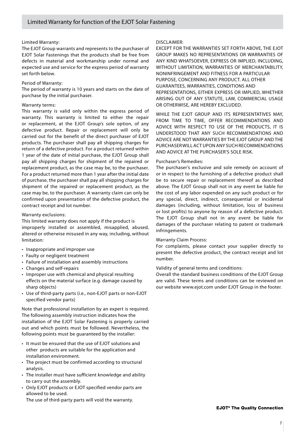#### Limited Warranty:

The EJOT Group warrants and represents to the purchaser of EJOT Solar Fastenings that the products shall be free from defects in material and workmanship under normal and expected use and service for the express period of warranty set forth below.

#### Period of Warranty:

The period of warranty is 10 years and starts on the date of purchase by the initial purchaser.

#### Warranty terms:

This warranty is valid only within the express period of warranty. This warranty is limited to either the repair or replacement, at the EJOT Group's sole option, of any defective product. Repair or replacement will only be carried out for the benefit of the direct purchaser of EJOT products. The purchaser shall pay all shipping charges for return of a defective product. For a product returned within 1 year of the date of initial purchase, the EJOT Group shall pay all shipping charges for shipment of the repaired or replacement product, as the case may be, to the purchaser. For a product returned more than 1 year after the initial date of purchase, the purchaser shall pay all shipping charges for shipment of the repaired or replacement product, as the case may be, to the purchaser. A warranty claim can only be confirmed upon presentation of the defective product, the contract receipt and lot number.

#### Warranty exclusions:

This limited warranty does not apply if the product is improperly installed or assembled, misapplied, abused, altered or otherwise misused in any way, including, without limitation:

- Inappropriate and improper use
- Faulty or negligent treatment
- Failure of installation and assembly instructions
- Changes and self-repairs
- Improper use with chemical and physical resulting effects on the material surface (e.g. damage caused by sharp objects)
- Use of third-party parts (i.e., non-EJOT parts or non-EJOT specified vendor parts)

Note that professional installation by an expert is required. The following assembly instruction indicates how the installation of the EJOT Solar Fastening is properly carried out and which points must be followed. Nevertheless, the following points must be guaranteed by the installer:

- It must be ensured that the use of EJOT solutions and other products are suitable for the application and installation environment.
- The project must be confirmed according to structural analysis.
- The installer must have sufficient knowledge and ability to carry out the assembly.
- Only EJOT products or EJOT specified vendor parts are allowed to be used.

The use of third-party parts will void the warranty.

#### DISCLAIMER:

EXCEPT FOR THE WARRANTIES SET FORTH ABOVE, THE EJOT GROUP MAKES NO REPRESENTATIONS OR WARRANTIES OF ANY KIND WHATSOEVER, EXPRESS OR IMPLIED, INCLUDING, WITHOUT LIMITATION, WARRANTIES OF MERCHANTABILITY, NONINFRINGEMENT AND FITNESS FOR A PARTICULAR PURPOSE, CONCERNING ANY PRODUCT. ALL OTHER GUARANTEES, WARRANTIES, CONDITIONS AND REPRESENTATIONS, EITHER EXPRESS OR IMPLIED, WHETHER ARISING OUT OF ANY STATUTE, LAW, COMMERCIAL USAGE OR OTHERWISE, ARE HEREBY EXCLUDED.

WHILE THE EJOT GROUP AND ITS REPRESENTATIVES MAY, FROM TIME TO TIME, OFFER RECOMMENDATIONS AND ADVICE WITH RESPECT TO USE OF THE PRODUCTS, IT IS UNDERSTOOD THAT ANY SUCH RECOMMENDATIONS AND ADVICE ARE NOT WARRANTIES BY THE EJOT GROUP AND THE PURCHASER WILL ACT UPON ANY SUCH RECOMMENDATIONS AND ADVICE AT THE PURCHASER'S SOLE RISK.

#### Purchaser's Remedies:

The purchaser's exclusive and sole remedy on account of or in respect to the furnishing of a defective product shall be to secure repair or replacement thereof as described above. The EJOT Group shall not in any event be liable for the cost of any labor expended on any such product or for any special, direct, indirect, consequential or incidental damages (including, without limitation, loss of business or lost profits) to anyone by reason of a defective product. The EJOT Group shall not in any event be liable for damages of the purchaser relating to patent or trademark infringements.

#### Warranty Claim Process:

For complaints, please contact your supplier directly to present the defective product, the contract receipt and lot number.

#### Validity of general terms and conditions:

Overall the standard business conditions of the EJOT Group are valid. These terms and conditions can be reviewed on our website www.ejot.com under EJOT Group in the footer.